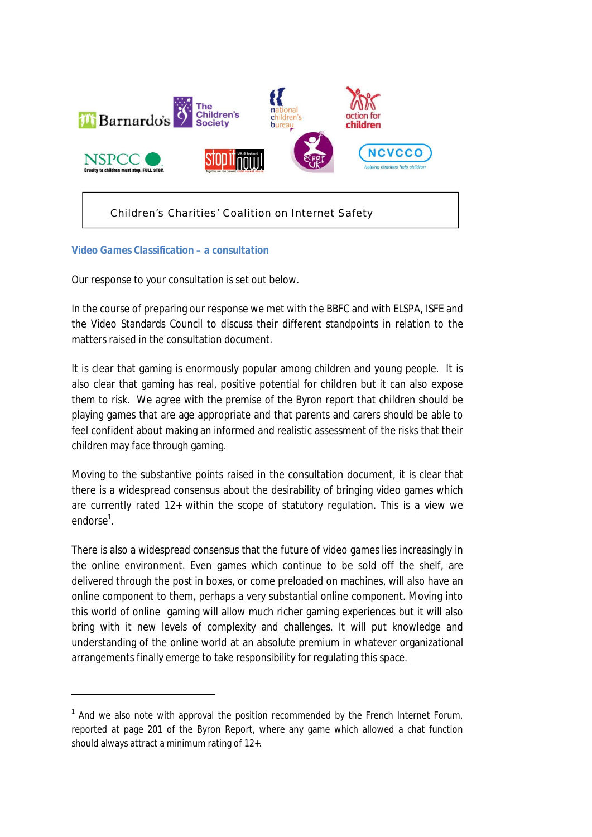

## *Video Games Classification – a consultation*

<u>.</u>

Our response to your consultation is set out below.

In the course of preparing our response we met with the BBFC and with ELSPA, ISFE and the Video Standards Council to discuss their different standpoints in relation to the matters raised in the consultation document.

It is clear that gaming is enormously popular among children and young people. It is also clear that gaming has real, positive potential for children but it can also expose them to risk. We agree with the premise of the Byron report that children should be playing games that are age appropriate and that parents and carers should be able to feel confident about making an informed and realistic assessment of the risks that their children may face through gaming.

Moving to the substantive points raised in the consultation document, it is clear that there is a widespread consensus about the desirability of bringing video games which are currently rated 12+ within the scope of statutory regulation. This is a view we endorse<sup>1</sup>.

There is also a widespread consensus that the future of video games lies increasingly in the online environment. Even games which continue to be sold off the shelf, are delivered through the post in boxes, or come preloaded on machines, will also have an online component to them, perhaps a very substantial online component. Moving into this world of online gaming will allow much richer gaming experiences but it will also bring with it new levels of complexity and challenges. It will put knowledge and understanding of the online world at an absolute premium in whatever organizational arrangements finally emerge to take responsibility for regulating this space.

 $1$  And we also note with approval the position recommended by the French Internet Forum, reported at page 201 of the Byron Report, where any game which allowed a chat function should always attract a minimum rating of 12+.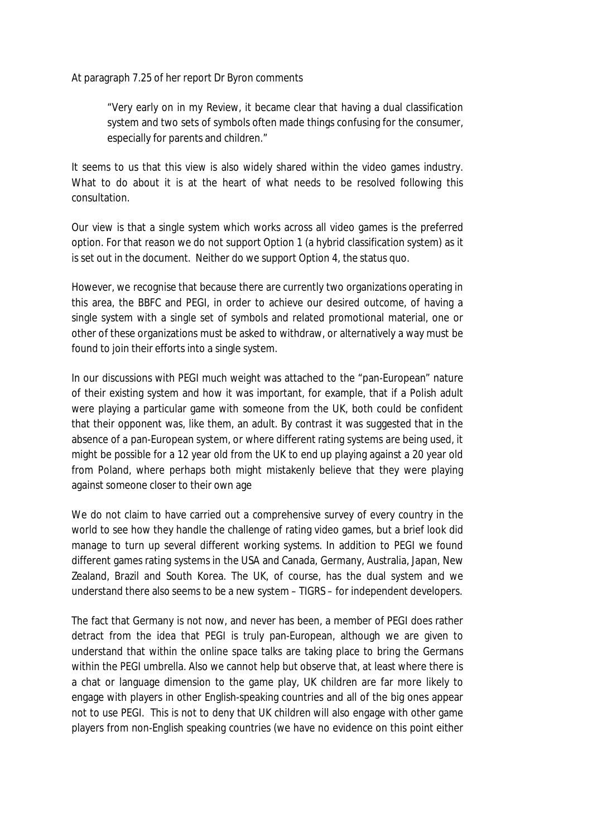At paragraph 7.25 of her report Dr Byron comments

"Very early on in my Review, it became clear that having a dual classification system and two sets of symbols often made things confusing for the consumer, especially for parents and children."

It seems to us that this view is also widely shared within the video games industry. What to do about it is at the heart of what needs to be resolved following this consultation.

Our view is that a single system which works across all video games is the preferred option. For that reason we do not support Option 1 (a hybrid classification system) as it is set out in the document. Neither do we support Option 4, the status quo.

However, we recognise that because there are currently two organizations operating in this area, the BBFC and PEGI, in order to achieve our desired outcome, of having a single system with a single set of symbols and related promotional material, one or other of these organizations must be asked to withdraw, or alternatively a way must be found to join their efforts into a single system.

In our discussions with PEGI much weight was attached to the "pan-European" nature of their existing system and how it was important, for example, that if a Polish adult were playing a particular game with someone from the UK, both could be confident that their opponent was, like them, an adult. By contrast it was suggested that in the absence of a pan-European system, or where different rating systems are being used, it might be possible for a 12 year old from the UK to end up playing against a 20 year old from Poland, where perhaps both might mistakenly believe that they were playing against someone closer to their own age

We do not claim to have carried out a comprehensive survey of every country in the world to see how they handle the challenge of rating video games, but a brief look did manage to turn up several different working systems. In addition to PEGI we found different games rating systems in the USA and Canada, Germany, Australia, Japan, New Zealand, Brazil and South Korea. The UK, of course, has the dual system and we understand there also seems to be a new system – TIGRS – for independent developers.

The fact that Germany is not now, and never has been, a member of PEGI does rather detract from the idea that PEGI is truly pan-European, although we are given to understand that within the online space talks are taking place to bring the Germans within the PEGI umbrella. Also we cannot help but observe that, at least where there is a chat or language dimension to the game play, UK children are far more likely to engage with players in other English-speaking countries and all of the big ones appear not to use PEGI. This is not to deny that UK children will also engage with other game players from non-English speaking countries (we have no evidence on this point either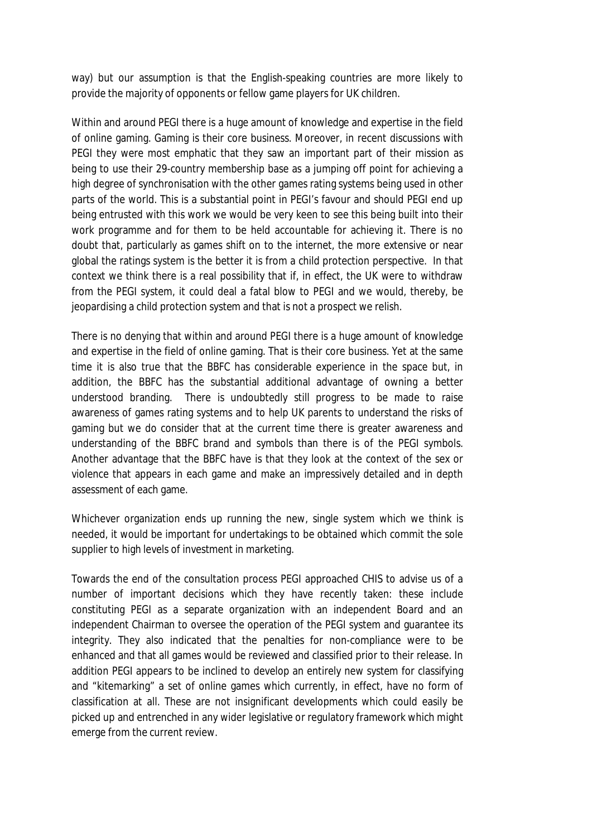way) but our assumption is that the English-speaking countries are more likely to provide the majority of opponents or fellow game players for UK children.

Within and around PEGI there is a huge amount of knowledge and expertise in the field of online gaming. Gaming is their core business. Moreover, in recent discussions with PEGI they were most emphatic that they saw an important part of their mission as being to use their 29-country membership base as a jumping off point for achieving a high degree of synchronisation with the other games rating systems being used in other parts of the world. This is a substantial point in PEGI's favour and should PEGI end up being entrusted with this work we would be very keen to see this being built into their work programme and for them to be held accountable for achieving it. There is no doubt that, particularly as games shift on to the internet, the more extensive or near global the ratings system is the better it is from a child protection perspective. In that context we think there is a real possibility that if, in effect, the UK were to withdraw from the PEGI system, it could deal a fatal blow to PEGI and we would, thereby, be jeopardising a child protection system and that is not a prospect we relish.

There is no denying that within and around PEGI there is a huge amount of knowledge and expertise in the field of online gaming. That is their core business. Yet at the same time it is also true that the BBFC has considerable experience in the space but, in addition, the BBFC has the substantial additional advantage of owning a better understood branding. There is undoubtedly still progress to be made to raise awareness of games rating systems and to help UK parents to understand the risks of gaming but we do consider that at the current time there is greater awareness and understanding of the BBFC brand and symbols than there is of the PEGI symbols. Another advantage that the BBFC have is that they look at the context of the sex or violence that appears in each game and make an impressively detailed and in depth assessment of each game.

Whichever organization ends up running the new, single system which we think is needed, it would be important for undertakings to be obtained which commit the sole supplier to high levels of investment in marketing.

Towards the end of the consultation process PEGI approached CHIS to advise us of a number of important decisions which they have recently taken: these include constituting PEGI as a separate organization with an independent Board and an independent Chairman to oversee the operation of the PEGI system and guarantee its integrity. They also indicated that the penalties for non-compliance were to be enhanced and that all games would be reviewed and classified prior to their release. In addition PEGI appears to be inclined to develop an entirely new system for classifying and "kitemarking" a set of online games which currently, in effect, have no form of classification at all. These are not insignificant developments which could easily be picked up and entrenched in any wider legislative or regulatory framework which might emerge from the current review.